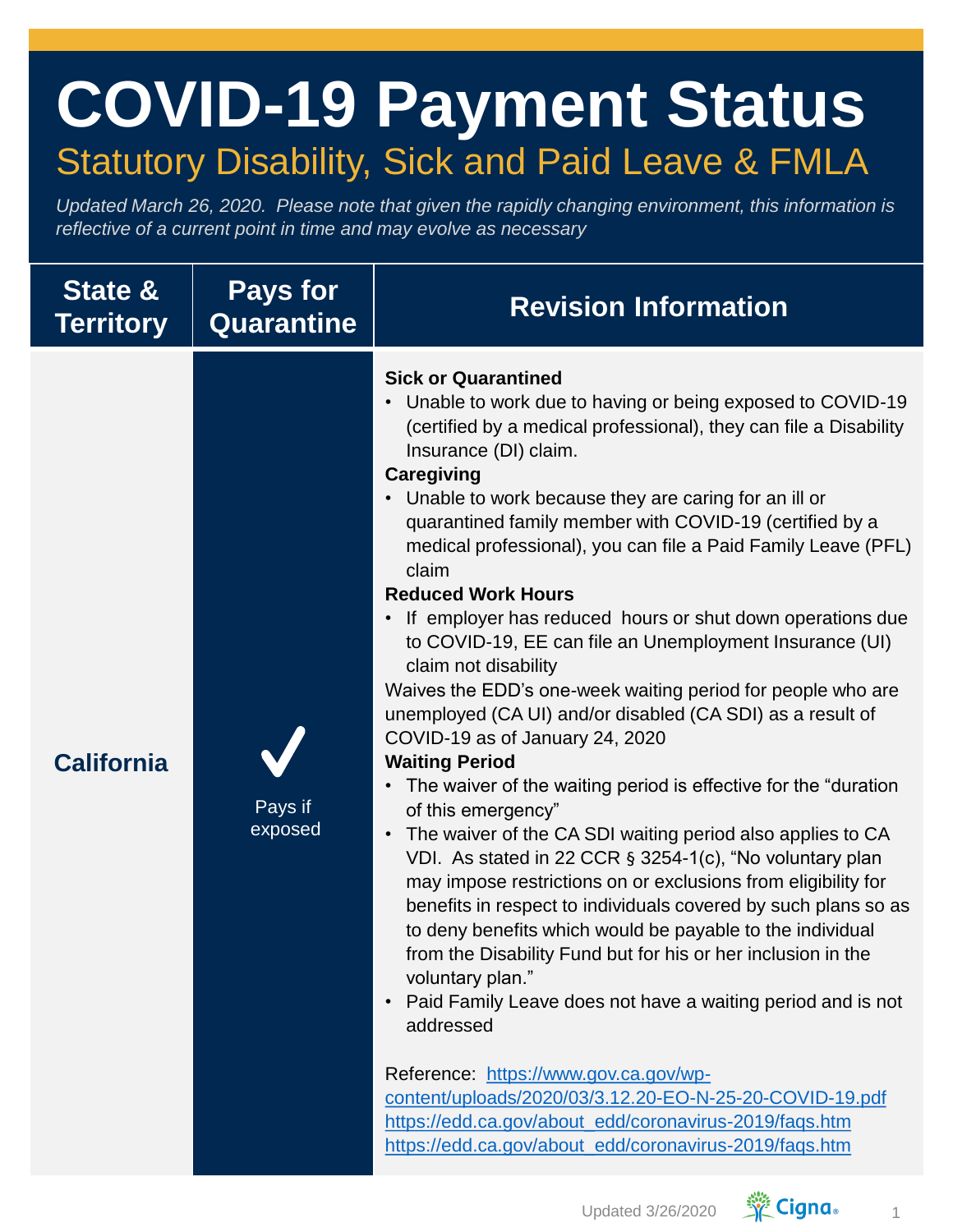## **COVID-19 Payment Status** Statutory Disability, Sick and Paid Leave & FMLA

*Updated March 26, 2020. Please note that given the rapidly changing environment, this information is reflective of a current point in time and may evolve as necessary*

| <b>State &amp;</b><br><b>Territory</b> | <b>Pays for</b><br><b>Quarantine</b> | <b>Revision Information</b>                                                                                                                                                                                                                                                                                                                                                                                                                                                                                                                                                                                                                                                                                                                                                                                                                                                                                                                                                                                                                                                                                                                                                                                                                                                                                                                                                                                                                                                                                                                                                                                                                               |
|----------------------------------------|--------------------------------------|-----------------------------------------------------------------------------------------------------------------------------------------------------------------------------------------------------------------------------------------------------------------------------------------------------------------------------------------------------------------------------------------------------------------------------------------------------------------------------------------------------------------------------------------------------------------------------------------------------------------------------------------------------------------------------------------------------------------------------------------------------------------------------------------------------------------------------------------------------------------------------------------------------------------------------------------------------------------------------------------------------------------------------------------------------------------------------------------------------------------------------------------------------------------------------------------------------------------------------------------------------------------------------------------------------------------------------------------------------------------------------------------------------------------------------------------------------------------------------------------------------------------------------------------------------------------------------------------------------------------------------------------------------------|
| <b>California</b>                      | Pays if<br>exposed                   | <b>Sick or Quarantined</b><br>Unable to work due to having or being exposed to COVID-19<br>$\bullet$<br>(certified by a medical professional), they can file a Disability<br>Insurance (DI) claim.<br><b>Caregiving</b><br>Unable to work because they are caring for an ill or<br>quarantined family member with COVID-19 (certified by a<br>medical professional), you can file a Paid Family Leave (PFL)<br>claim<br><b>Reduced Work Hours</b><br>If employer has reduced hours or shut down operations due<br>$\bullet$<br>to COVID-19, EE can file an Unemployment Insurance (UI)<br>claim not disability<br>Waives the EDD's one-week waiting period for people who are<br>unemployed (CA UI) and/or disabled (CA SDI) as a result of<br>COVID-19 as of January 24, 2020<br><b>Waiting Period</b><br>The waiver of the waiting period is effective for the "duration<br>$\bullet$<br>of this emergency"<br>The waiver of the CA SDI waiting period also applies to CA<br>$\bullet$<br>VDI. As stated in 22 CCR § 3254-1(c), "No voluntary plan<br>may impose restrictions on or exclusions from eligibility for<br>benefits in respect to individuals covered by such plans so as<br>to deny benefits which would be payable to the individual<br>from the Disability Fund but for his or her inclusion in the<br>voluntary plan."<br>Paid Family Leave does not have a waiting period and is not<br>$\bullet$<br>addressed<br>Reference: https://www.gov.ca.gov/wp-<br>content/uploads/2020/03/3.12.20-EO-N-25-20-COVID-19.pdf<br>https://edd.ca.gov/about_edd/coronavirus-2019/faqs.htm<br>https://edd.ca.gov/about_edd/coronavirus-2019/faqs.htm |

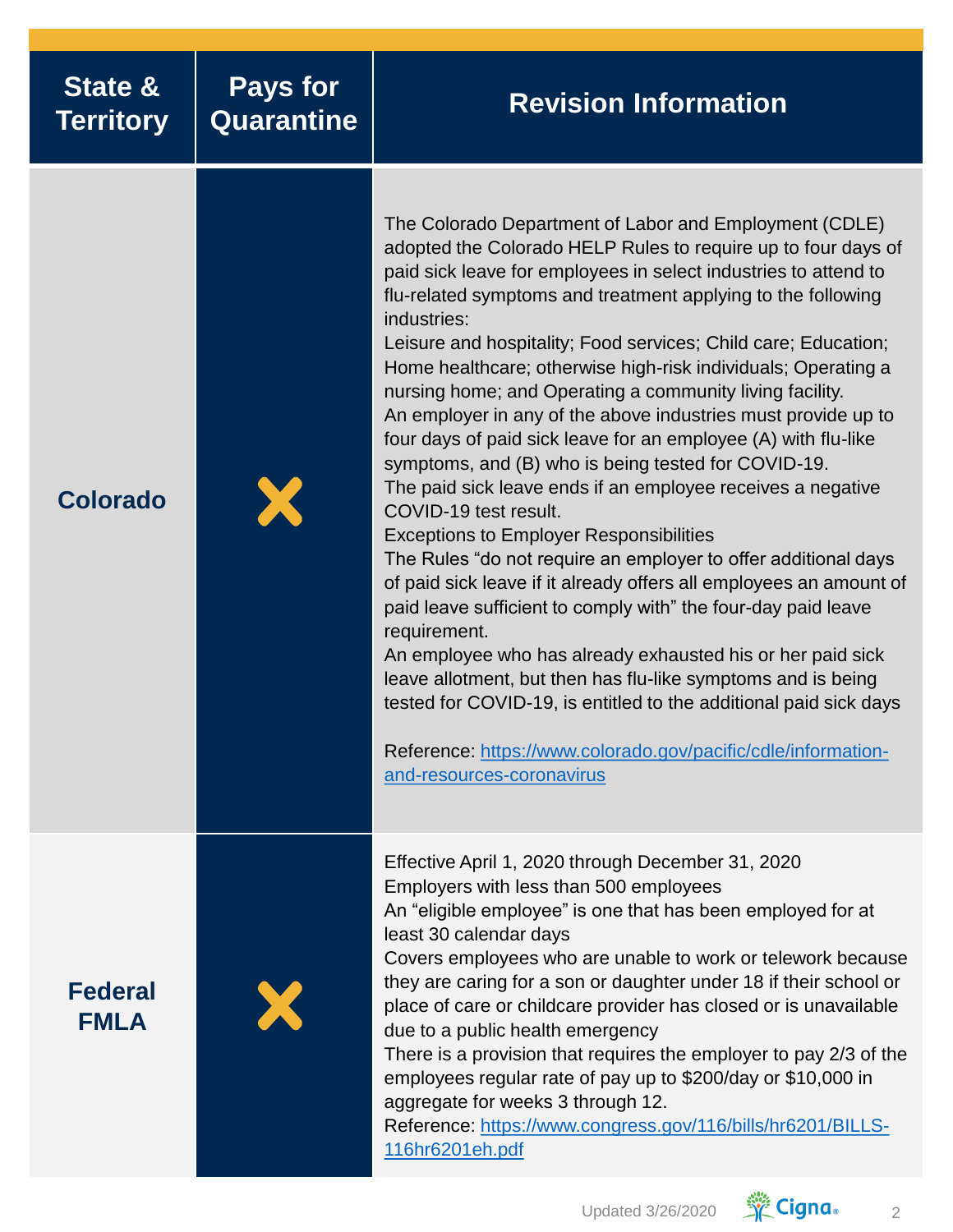| <b>State &amp;</b><br><b>Territory</b> | <b>Pays for</b><br>Quarantine | <b>Revision Information</b>                                                                                                                                                                                                                                                                                                                                                                                                                                                                                                                                                                                                                                                                                                                                                                                                                                                                                                                                                                                                                                                                                                                                                                                                                                                                                                            |
|----------------------------------------|-------------------------------|----------------------------------------------------------------------------------------------------------------------------------------------------------------------------------------------------------------------------------------------------------------------------------------------------------------------------------------------------------------------------------------------------------------------------------------------------------------------------------------------------------------------------------------------------------------------------------------------------------------------------------------------------------------------------------------------------------------------------------------------------------------------------------------------------------------------------------------------------------------------------------------------------------------------------------------------------------------------------------------------------------------------------------------------------------------------------------------------------------------------------------------------------------------------------------------------------------------------------------------------------------------------------------------------------------------------------------------|
| <b>Colorado</b>                        |                               | The Colorado Department of Labor and Employment (CDLE)<br>adopted the Colorado HELP Rules to require up to four days of<br>paid sick leave for employees in select industries to attend to<br>flu-related symptoms and treatment applying to the following<br>industries:<br>Leisure and hospitality; Food services; Child care; Education;<br>Home healthcare; otherwise high-risk individuals; Operating a<br>nursing home; and Operating a community living facility.<br>An employer in any of the above industries must provide up to<br>four days of paid sick leave for an employee (A) with flu-like<br>symptoms, and (B) who is being tested for COVID-19.<br>The paid sick leave ends if an employee receives a negative<br>COVID-19 test result.<br><b>Exceptions to Employer Responsibilities</b><br>The Rules "do not require an employer to offer additional days<br>of paid sick leave if it already offers all employees an amount of<br>paid leave sufficient to comply with" the four-day paid leave<br>requirement.<br>An employee who has already exhausted his or her paid sick<br>leave allotment, but then has flu-like symptoms and is being<br>tested for COVID-19, is entitled to the additional paid sick days<br>Reference: https://www.colorado.gov/pacific/cdle/information-<br>and-resources-coronavirus |
| <b>Federal</b><br><b>FMLA</b>          |                               | Effective April 1, 2020 through December 31, 2020<br>Employers with less than 500 employees<br>An "eligible employee" is one that has been employed for at<br>least 30 calendar days<br>Covers employees who are unable to work or telework because<br>they are caring for a son or daughter under 18 if their school or<br>place of care or childcare provider has closed or is unavailable<br>due to a public health emergency<br>There is a provision that requires the employer to pay 2/3 of the<br>employees regular rate of pay up to \$200/day or \$10,000 in<br>aggregate for weeks 3 through 12.<br>Reference: https://www.congress.gov/116/bills/hr6201/BILLS-<br>116hr6201eh.pdf                                                                                                                                                                                                                                                                                                                                                                                                                                                                                                                                                                                                                                           |

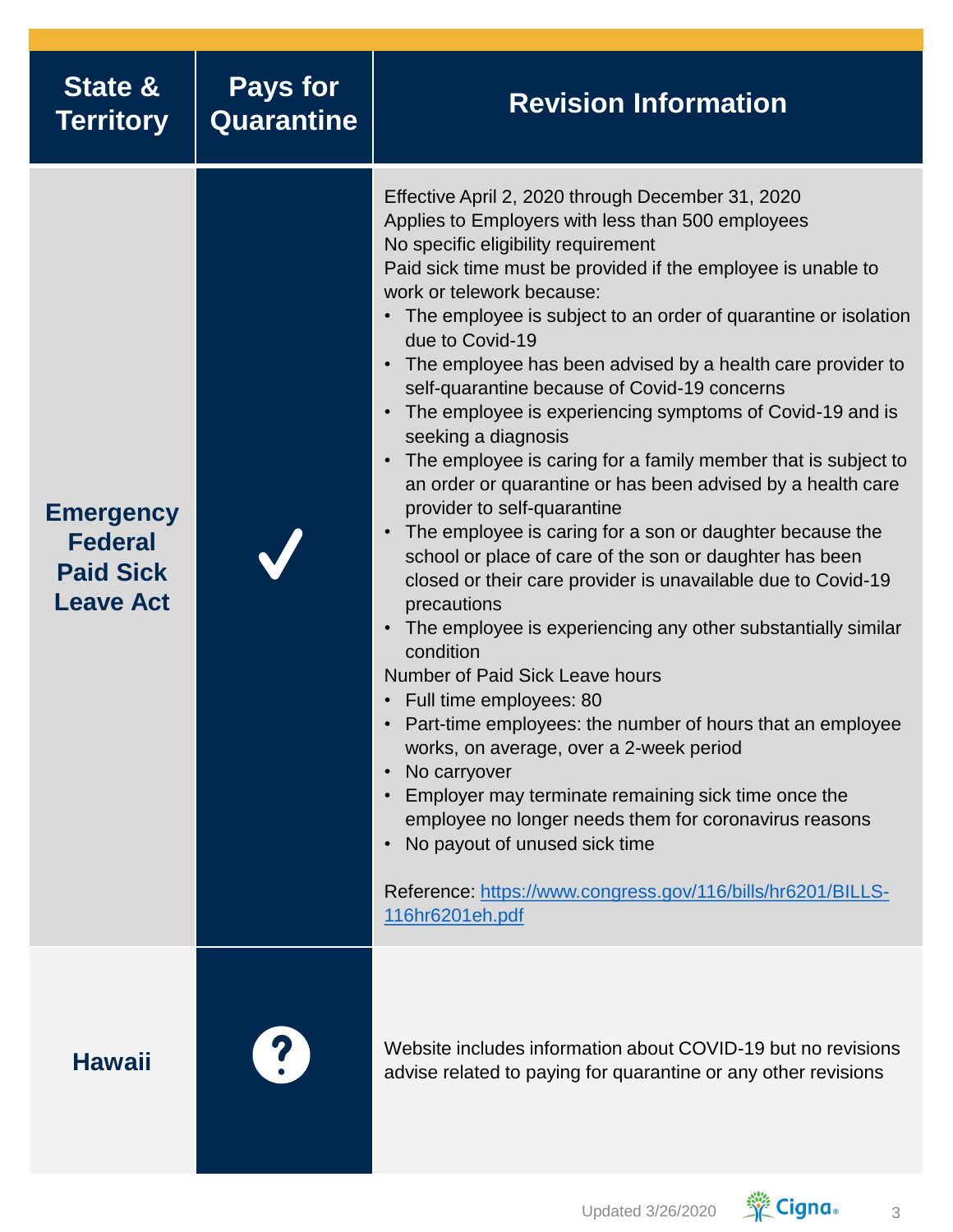| State &<br><b>Territory</b>                                                | <b>Pays for</b><br><b>Quarantine</b> | <b>Revision Information</b>                                                                                                                                                                                                                                                                                                                                                                                                                                                                                                                                                                                                                                                                                                                                                                                                                                                                                                                                                                                                                                                                                                                                                                                                                                                                                                                                                                                                |
|----------------------------------------------------------------------------|--------------------------------------|----------------------------------------------------------------------------------------------------------------------------------------------------------------------------------------------------------------------------------------------------------------------------------------------------------------------------------------------------------------------------------------------------------------------------------------------------------------------------------------------------------------------------------------------------------------------------------------------------------------------------------------------------------------------------------------------------------------------------------------------------------------------------------------------------------------------------------------------------------------------------------------------------------------------------------------------------------------------------------------------------------------------------------------------------------------------------------------------------------------------------------------------------------------------------------------------------------------------------------------------------------------------------------------------------------------------------------------------------------------------------------------------------------------------------|
| <b>Emergency</b><br><b>Federal</b><br><b>Paid Sick</b><br><b>Leave Act</b> |                                      | Effective April 2, 2020 through December 31, 2020<br>Applies to Employers with less than 500 employees<br>No specific eligibility requirement<br>Paid sick time must be provided if the employee is unable to<br>work or telework because:<br>• The employee is subject to an order of quarantine or isolation<br>due to Covid-19<br>The employee has been advised by a health care provider to<br>self-quarantine because of Covid-19 concerns<br>The employee is experiencing symptoms of Covid-19 and is<br>seeking a diagnosis<br>The employee is caring for a family member that is subject to<br>an order or quarantine or has been advised by a health care<br>provider to self-quarantine<br>• The employee is caring for a son or daughter because the<br>school or place of care of the son or daughter has been<br>closed or their care provider is unavailable due to Covid-19<br>precautions<br>The employee is experiencing any other substantially similar<br>condition<br><b>Number of Paid Sick Leave hours</b><br>• Full time employees: 80<br>• Part-time employees: the number of hours that an employee<br>works, on average, over a 2-week period<br>No carryover<br>Employer may terminate remaining sick time once the<br>employee no longer needs them for coronavirus reasons<br>No payout of unused sick time<br>Reference: https://www.congress.gov/116/bills/hr6201/BILLS-<br>116hr6201eh.pdf |
| <b>Hawaii</b>                                                              |                                      | Website includes information about COVID-19 but no revisions<br>advise related to paying for quarantine or any other revisions                                                                                                                                                                                                                                                                                                                                                                                                                                                                                                                                                                                                                                                                                                                                                                                                                                                                                                                                                                                                                                                                                                                                                                                                                                                                                             |

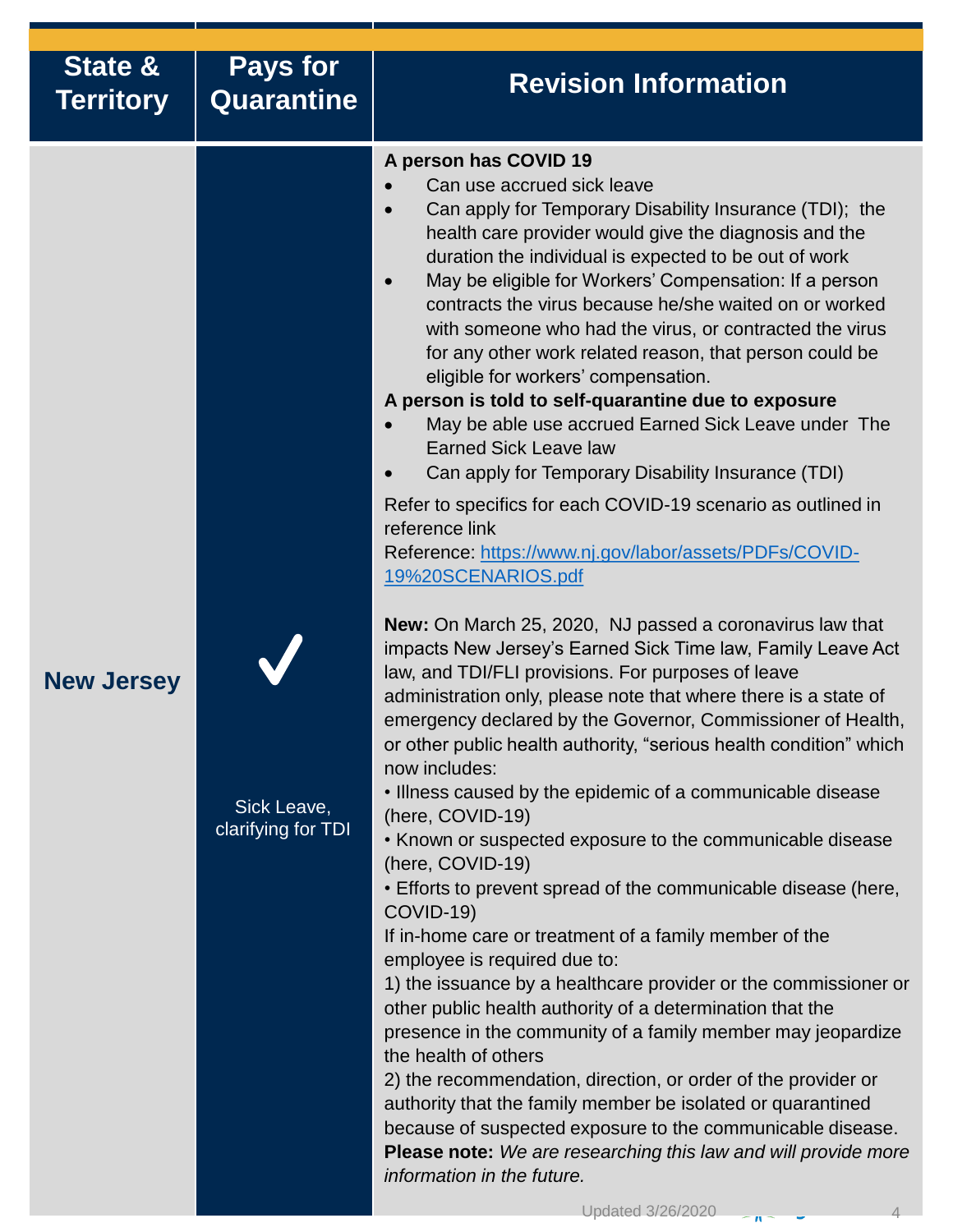| State &<br><b>Territory</b> | <b>Pays for</b><br>Quarantine     | <b>Revision Information</b>                                                                                                                                                                                                                                                                                                                                                                                                                                                                                                                                                                                                                                                                                                                                                                                                                                                                                                                                                                                                                                                                                                                                                                                                                                                                                                                                                                                                                                                                                                                                                                                                                                                                                                                                                                                                                                                                                                                                                                                                                                                                                                                                                                                      |
|-----------------------------|-----------------------------------|------------------------------------------------------------------------------------------------------------------------------------------------------------------------------------------------------------------------------------------------------------------------------------------------------------------------------------------------------------------------------------------------------------------------------------------------------------------------------------------------------------------------------------------------------------------------------------------------------------------------------------------------------------------------------------------------------------------------------------------------------------------------------------------------------------------------------------------------------------------------------------------------------------------------------------------------------------------------------------------------------------------------------------------------------------------------------------------------------------------------------------------------------------------------------------------------------------------------------------------------------------------------------------------------------------------------------------------------------------------------------------------------------------------------------------------------------------------------------------------------------------------------------------------------------------------------------------------------------------------------------------------------------------------------------------------------------------------------------------------------------------------------------------------------------------------------------------------------------------------------------------------------------------------------------------------------------------------------------------------------------------------------------------------------------------------------------------------------------------------------------------------------------------------------------------------------------------------|
| <b>New Jersey</b>           | Sick Leave,<br>clarifying for TDI | A person has COVID 19<br>Can use accrued sick leave<br>Can apply for Temporary Disability Insurance (TDI); the<br>health care provider would give the diagnosis and the<br>duration the individual is expected to be out of work<br>May be eligible for Workers' Compensation: If a person<br>$\bullet$<br>contracts the virus because he/she waited on or worked<br>with someone who had the virus, or contracted the virus<br>for any other work related reason, that person could be<br>eligible for workers' compensation.<br>A person is told to self-quarantine due to exposure<br>May be able use accrued Earned Sick Leave under The<br><b>Earned Sick Leave law</b><br>Can apply for Temporary Disability Insurance (TDI)<br>Refer to specifics for each COVID-19 scenario as outlined in<br>reference link<br>Reference: https://www.nj.gov/labor/assets/PDFs/COVID-<br>19%20SCENARIOS.pdf<br>New: On March 25, 2020, NJ passed a coronavirus law that<br>impacts New Jersey's Earned Sick Time law, Family Leave Act<br>law, and TDI/FLI provisions. For purposes of leave<br>administration only, please note that where there is a state of<br>emergency declared by the Governor, Commissioner of Health,<br>or other public health authority, "serious health condition" which<br>now includes:<br>. Illness caused by the epidemic of a communicable disease<br>(here, COVID-19)<br>• Known or suspected exposure to the communicable disease<br>(here, COVID-19)<br>• Efforts to prevent spread of the communicable disease (here,<br>COVID-19)<br>If in-home care or treatment of a family member of the<br>employee is required due to:<br>1) the issuance by a healthcare provider or the commissioner or<br>other public health authority of a determination that the<br>presence in the community of a family member may jeopardize<br>the health of others<br>2) the recommendation, direction, or order of the provider or<br>authority that the family member be isolated or quarantined<br>because of suspected exposure to the communicable disease.<br>Please note: We are researching this law and will provide more<br>information in the future.<br>Updated 3/26/2020<br>$\sim n$ |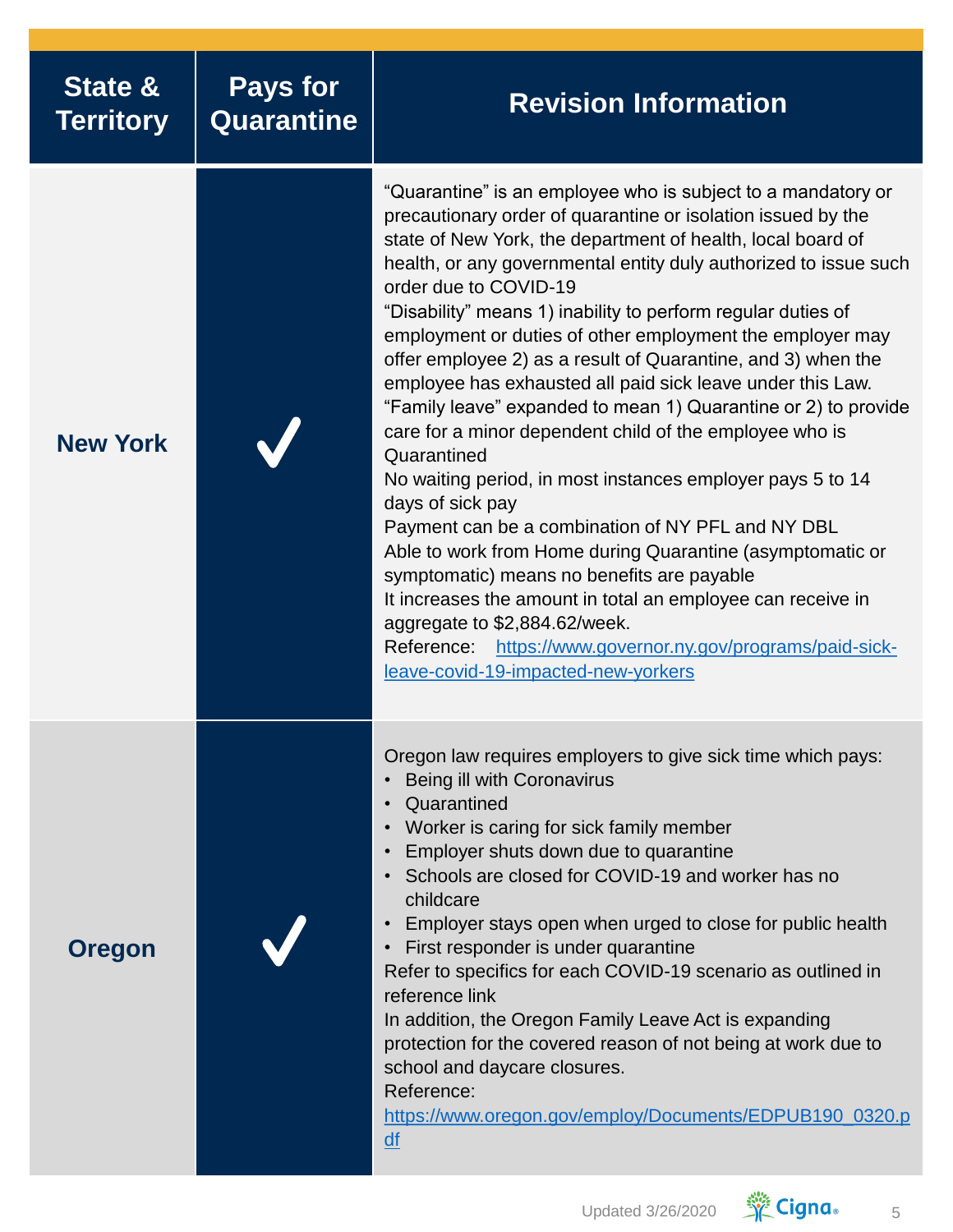| <b>State &amp;</b><br><b>Territory</b> | <b>Pays for</b><br>Quarantine | <b>Revision Information</b>                                                                                                                                                                                                                                                                                                                                                                                                                                                                                                                                                                                                                                                                                                                                                                                                                                                                                                                                                                                                                                                                                                                               |
|----------------------------------------|-------------------------------|-----------------------------------------------------------------------------------------------------------------------------------------------------------------------------------------------------------------------------------------------------------------------------------------------------------------------------------------------------------------------------------------------------------------------------------------------------------------------------------------------------------------------------------------------------------------------------------------------------------------------------------------------------------------------------------------------------------------------------------------------------------------------------------------------------------------------------------------------------------------------------------------------------------------------------------------------------------------------------------------------------------------------------------------------------------------------------------------------------------------------------------------------------------|
| <b>New York</b>                        |                               | "Quarantine" is an employee who is subject to a mandatory or<br>precautionary order of quarantine or isolation issued by the<br>state of New York, the department of health, local board of<br>health, or any governmental entity duly authorized to issue such<br>order due to COVID-19<br>"Disability" means 1) inability to perform regular duties of<br>employment or duties of other employment the employer may<br>offer employee 2) as a result of Quarantine, and 3) when the<br>employee has exhausted all paid sick leave under this Law.<br>"Family leave" expanded to mean 1) Quarantine or 2) to provide<br>care for a minor dependent child of the employee who is<br>Quarantined<br>No waiting period, in most instances employer pays 5 to 14<br>days of sick pay<br>Payment can be a combination of NY PFL and NY DBL<br>Able to work from Home during Quarantine (asymptomatic or<br>symptomatic) means no benefits are payable<br>It increases the amount in total an employee can receive in<br>aggregate to \$2,884.62/week.<br>https://www.governor.ny.gov/programs/paid-sick-<br>Reference:<br>leave-covid-19-impacted-new-yorkers |
| <b>Oregon</b>                          |                               | Oregon law requires employers to give sick time which pays:<br>Being ill with Coronavirus<br>Quarantined<br>Worker is caring for sick family member<br>Employer shuts down due to quarantine<br>Schools are closed for COVID-19 and worker has no<br>childcare<br>Employer stays open when urged to close for public health<br>First responder is under quarantine<br>Refer to specifics for each COVID-19 scenario as outlined in<br>reference link<br>In addition, the Oregon Family Leave Act is expanding<br>protection for the covered reason of not being at work due to<br>school and daycare closures.<br>Reference:<br>https://www.oregon.gov/employ/Documents/EDPUB190_0320.p<br>$\underline{df}$                                                                                                                                                                                                                                                                                                                                                                                                                                               |